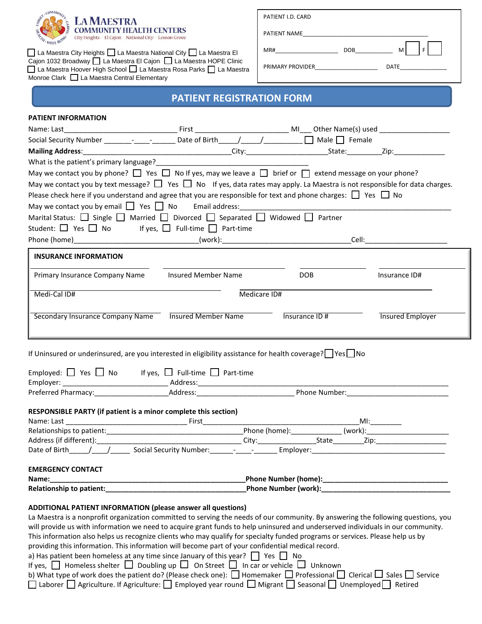

La Maestra City Heights | La Maestra National City | La Maestra El Cajon 1032 Broadway | La Maestra El Cajon | La Maestra HOPE Clinic La Maestra Hoover High School | La Maestra Rosa Parks | La Maestra Monroe Clark  $\Box$  La Maestra Central Elementary

PATIENT NAME

PRIMARY PROVIDER\_\_\_\_\_\_\_\_\_\_\_\_\_\_\_\_\_\_\_\_ DATE\_\_\_\_\_\_\_\_\_\_\_\_\_\_\_

MR#\_\_\_\_\_\_\_\_\_\_\_\_\_\_\_\_\_\_\_\_ DOB\_\_\_\_\_\_\_\_\_\_\_\_ M F

# **PATIENT REGISTRATION FORM**

| <b>PATIENT INFORMATION</b>                                                                                                                                                                                                                                           |                     |              |                |                                                    |  |
|----------------------------------------------------------------------------------------------------------------------------------------------------------------------------------------------------------------------------------------------------------------------|---------------------|--------------|----------------|----------------------------------------------------|--|
|                                                                                                                                                                                                                                                                      |                     |              |                |                                                    |  |
| Social Security Number _________________________ Date of Birth______/______/_____________ □ Male □ Female                                                                                                                                                            |                     |              |                |                                                    |  |
|                                                                                                                                                                                                                                                                      |                     |              |                |                                                    |  |
| What is the patient's primary language?                                                                                                                                                                                                                              |                     |              |                |                                                    |  |
| May we contact you by phone? $\Box$ Yes $\Box$ No If yes, may we leave a $\Box$ brief or $\Box$ extend message on your phone?                                                                                                                                        |                     |              |                |                                                    |  |
| May we contact you by text message? $\Box$ Yes $\Box$ No If yes, data rates may apply. La Maestra is not responsible for data charges.                                                                                                                               |                     |              |                |                                                    |  |
| Please check here if you understand and agree that you are responsible for text and phone charges: $\Box$ Yes $\Box$ No                                                                                                                                              |                     |              |                |                                                    |  |
|                                                                                                                                                                                                                                                                      |                     |              |                |                                                    |  |
| Marital Status: $\Box$ Single $\Box$ Married $\Box$ Divorced $\Box$ Separated $\Box$ Widowed $\Box$ Partner                                                                                                                                                          |                     |              |                |                                                    |  |
| Student: $\Box$ Yes $\Box$ No If yes, $\Box$ Full-time $\Box$ Part-time                                                                                                                                                                                              |                     |              |                |                                                    |  |
|                                                                                                                                                                                                                                                                      |                     |              |                | _Cell:_____________________________                |  |
| <b>INSURANCE INFORMATION</b>                                                                                                                                                                                                                                         |                     |              |                |                                                    |  |
|                                                                                                                                                                                                                                                                      |                     |              |                |                                                    |  |
| Primary Insurance Company Name                                                                                                                                                                                                                                       | Insured Member Name |              | DOB            | Insurance ID#                                      |  |
| Medi-Cal ID#                                                                                                                                                                                                                                                         |                     | Medicare ID# |                |                                                    |  |
|                                                                                                                                                                                                                                                                      |                     |              |                |                                                    |  |
| Secondary Insurance Company Name Insured Member Name                                                                                                                                                                                                                 |                     |              | Insurance ID # | <b>Insured Employer</b>                            |  |
|                                                                                                                                                                                                                                                                      |                     |              |                |                                                    |  |
|                                                                                                                                                                                                                                                                      |                     |              |                |                                                    |  |
|                                                                                                                                                                                                                                                                      |                     |              |                |                                                    |  |
| If Uninsured or underinsured, are you interested in eligibility assistance for health coverage? $\Box$ Yes $\Box$ No                                                                                                                                                 |                     |              |                |                                                    |  |
| Employed: $\Box$ Yes $\Box$ No If yes, $\Box$ Full-time $\Box$ Part-time                                                                                                                                                                                             |                     |              |                |                                                    |  |
|                                                                                                                                                                                                                                                                      |                     |              |                |                                                    |  |
|                                                                                                                                                                                                                                                                      |                     |              |                |                                                    |  |
|                                                                                                                                                                                                                                                                      |                     |              |                |                                                    |  |
| RESPONSIBLE PARTY (if patient is a minor complete this section)                                                                                                                                                                                                      |                     |              |                |                                                    |  |
|                                                                                                                                                                                                                                                                      |                     |              |                |                                                    |  |
|                                                                                                                                                                                                                                                                      |                     |              |                |                                                    |  |
|                                                                                                                                                                                                                                                                      |                     |              |                |                                                    |  |
|                                                                                                                                                                                                                                                                      |                     |              |                |                                                    |  |
| <b>EMERGENCY CONTACT</b>                                                                                                                                                                                                                                             |                     |              |                |                                                    |  |
| Name:                                                                                                                                                                                                                                                                |                     |              |                |                                                    |  |
|                                                                                                                                                                                                                                                                      |                     |              |                | Phone Number (work): National Phone Number (work): |  |
|                                                                                                                                                                                                                                                                      |                     |              |                |                                                    |  |
| <b>ADDITIONAL PATIENT INFORMATION (please answer all questions)</b>                                                                                                                                                                                                  |                     |              |                |                                                    |  |
| La Maestra is a nonprofit organization committed to serving the needs of our community. By answering the following questions, you<br>will provide us with information we need to acquire grant funds to help uninsured and underserved individuals in our community. |                     |              |                |                                                    |  |
| This information also helps us recognize clients who may qualify for specialty funded programs or services. Please help us by                                                                                                                                        |                     |              |                |                                                    |  |
| providing this information. This information will become part of your confidential medical record.                                                                                                                                                                   |                     |              |                |                                                    |  |
| a) Has patient been homeless at any time since January of this year? $\Box$ Yes $\Box$ No                                                                                                                                                                            |                     |              |                |                                                    |  |
| If yes, $\Box$ Homeless shelter $\Box$ Doubling up $\Box$ On Street $\Box$ In car or vehicle $\Box$ Unknown                                                                                                                                                          |                     |              |                |                                                    |  |

| b) What type of work does the patient do? (Please check one): $\Box$ Homemaker $\Box$ Professional $\Box$ Clerical $\Box$ Sales $\Box$ Service |  |  |
|------------------------------------------------------------------------------------------------------------------------------------------------|--|--|
| □ Laborer □ Agriculture. If Agriculture: □ Employed year round □ Migrant □ Seasonal □ Unemployed □ Retired                                     |  |  |